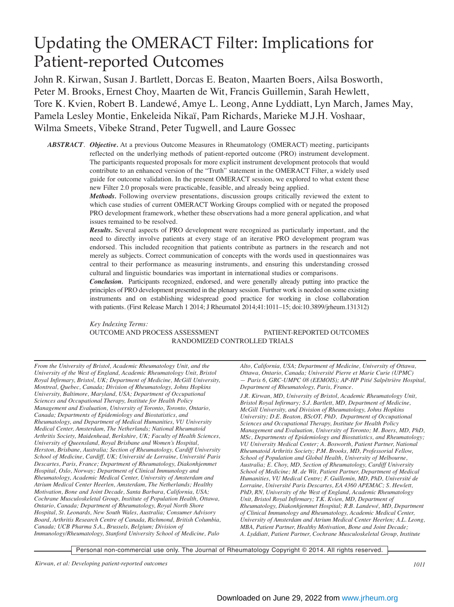## Updating the OMERACT Filter: Implications for Patient-reported Outcomes

John R. Kirwan, Susan J. Bartlett, Dorcas E. Beaton, Maarten Boers, Ailsa Bosworth, Peter M. Brooks, Ernest Choy, Maarten de Wit, Francis Guillemin, Sarah Hewlett, Tore K. Kvien, Robert B. Landewé, Amye L. Leong, Anne Lyddiatt, Lyn March, James May, Pamela Lesley Montie, Enkeleida Nikaï, Pam Richards, Marieke M.J.H. Voshaar, Wilma Smeets, Vibeke Strand, Peter Tugwell, and Laure Gossec

*ABSTRACT. Objective.* At a previous Outcome Measures in Rheumatology (OMERACT) meeting, participants reflected on the underlying methods of patient-reported outcome (PRO) instrument development. The participants requested proposals for more explicit instrument development protocols that would contribute to an enhanced version of the "Truth" statement in the OMERACT Filter, a widely used guide for outcome validation. In the present OMERACT session, we explored to what extent these new Filter 2.0 proposals were practicable, feasible, and already being applied.

*Methods.* Following overview presentations, discussion groups critically reviewed the extent to which case studies of current OMERACT Working Groups complied with or negated the proposed PRO development framework, whether these observations had a more general application, and what issues remained to be resolved.

*Results.* Several aspects of PRO development were recognized as particularly important, and the need to directly involve patients at every stage of an iterative PRO development program was endorsed. This included recognition that patients contribute as partners in the research and not merely as subjects. Correct communication of concepts with the words used in questionnaires was central to their performance as measuring instruments, and ensuring this understanding crossed cultural and linguistic boundaries was important in international studies or comparisons.

*Conclusion.* Participants recognized, endorsed, and were generally already putting into practice the principles of PRO development presented in the plenary session. Further work is needed on some existing instruments and on establishing widespread good practice for working in close collaboration with patients. (First Release March 1 2014; J Rheumatol 2014;41:1011–15; doi:10.3899/jrheum.131312)

*Key Indexing Terms:* OUTCOME AND PROCESS ASSESSMENT PATIENT-REPORTED OUTCOMES RANDOMIZED CONTROLLED TRIALS

*From the University of Bristol, Academic Rheumatology Unit, and the University of the West of England, Academic Rheumatology Unit, Bristol Royal Infirmary, Bristol, UK; Department of Medicine, McGill University, Montreal, Quebec, Canada; Division of Rheumatology, Johns Hopkins University, Baltimore, Maryland, USA; Department of Occupational Sciences and Occupational Therapy, Institute for Health Policy Management and Evaluation, University of Toronto, Toronto, Ontario, Canada; Departments of Epidemiology and Biostatistics, and Rheumatology, and Department of Medical Humanities, VU University Medical Center, Amsterdam, The Netherlands; National Rheumatoid Arthritis Society, Maidenhead, Berkshire, UK; Faculty of Health Sciences, University of Queensland, Royal Brisbane and Women's Hospital, Herston, Brisbane, Australia; Section of Rheumatology, Cardiff University School of Medicine, Cardiff, UK; Université de Lorraine, Université Paris Descartes, Paris, France; Department of Rheumatology, Diakonhjemmet Hospital, Oslo, Norway; Department of Clinical Immunology and Rheumatology, Academic Medical Center, University of Amsterdam and Atrium Medical Center Heerlen, Amsterdam, The Netherlands; Healthy Motivation, Bone and Joint Decade, Santa Barbara, California, USA; Cochrane Musculoskeletal Group, Institute of Population Health, Ottawa, Ontario, Canada; Department of Rheumatology, Royal North Shore Hospital, St. Leonards, New South Wales, Australia; Consumer Advisory Board, Arthritis Research Centre of Canada, Richmond, British Columbia, Canada; UCB Pharma S.A., Brussels, Belgium; Division of Immunology/Rheumatology, Stanford University School of Medicine, Palo*

*Alto, California, USA; Department of Medicine, University of Ottawa, Ottawa, Ontario, Canada; Université Pierre et Marie Curie (UPMC) — Paris 6, GRC-UMPC 08 (EEMOIS); AP-HP Pitié Salpêtrière Hospital, Department of Rheumatology, Paris, France.* 

*J.R. Kirwan, MD, University of Bristol, Academic Rheumatology Unit, Bristol Royal Infirmary; S.J. Bartlett, MD, Department of Medicine, McGill University, and Division of Rheumatology, Johns Hopkins University; D.E. Beaton, BScOT, PhD, Department of Occupational Sciences and Occupational Therapy, Institute for Health Policy Management and Evaluation, University of Toronto; M. Boers, MD, PhD, MSc, Departments of Epidemiology and Biostatistics, and Rheumatology; VU University Medical Center; A. Bosworth, Patient Partner, National Rheumatoid Arthritis Society; P.M. Brooks, MD, Professorial Fellow, School of Population and Global Health, University of Melbourne, Australia; E. Choy, MD, Section of Rheumatology, Cardiff University School of Medicine; M. de Wit, Patient Partner, Department of Medical Humanities, VU Medical Centre; F. Guillemin, MD, PhD, Université de Lorraine, Université Paris Descartes, EA 4360 APEMAC; S. Hewlett, PhD, RN, University of the West of England, Academic Rheumatology Unit, Bristol Royal Infirmary; T.K. Kvien, MD, Department of Rheumatology, Diakonhjemmet Hospital; R.B. Landewé, MD, Department of Clinical Immunology and Rheumatology, Academic Medical Center, University of Amsterdam and Atrium Medical Center Heerlen; A.L. Leong, MBA, Patient Partner, Healthy Motivation, Bone and Joint Decade; A. Lyddiatt, Patient Partner, Cochrane Musculoskeletal Group, Institute*

Personal non-commercial use only. The Journal of Rheumatology Copyright © 2014. All rights reserved.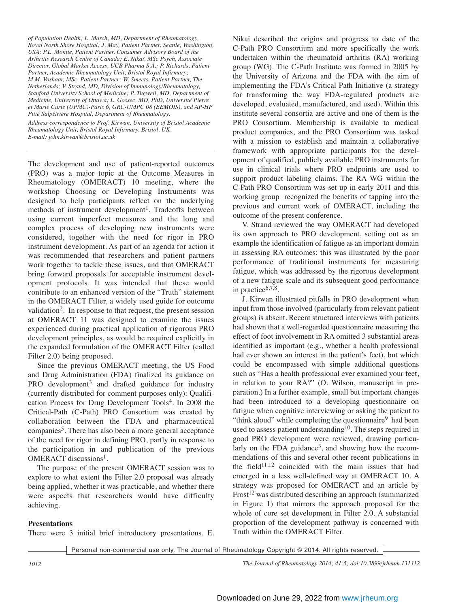*of Population Health; L. March, MD, Department of Rheumatology, Royal North Shore Hospital; J. May, Patient Partner, Seattle, Washington, USA; P.L. Montie, Patient Partner, Consumer Advisory Board of the Arthritis Research Centre of Canada; E. Nikaï, MSc Psych, Associate Director, Global Market Access, UCB Pharma S.A.; P. Richards, Patient Partner, Academic Rheumatology Unit, Bristol Royal Infirmary; M.M. Voshaar, MSc, Patient Partner; W. Smeets, Patient Partner, The Netherlands; V. Strand, MD, Division of Immunology/Rheumatology, Stanford University School of Medicine; P. Tugwell, MD, Department of Medicine, University of Ottawa; L. Gossec, MD, PhD, Université Pierre et Marie Curie (UPMC)-Paris 6, GRC-UMPC 08 (EEMOIS), and AP-HP Pitié Salpêtrière Hospital, Department of Rheumatology.*

*Address correspondence to Prof. Kirwan, University of Bristol Academic Rheumatology Unit, Bristol Royal Infirmary, Bristol, UK. E-mail: john.kirwan@bristol.ac.uk*

The development and use of patient-reported outcomes (PRO) was a major topic at the Outcome Measures in Rheumatology (OMERACT) 10 meeting, where the workshop Choosing or Developing Instruments was designed to help participants reflect on the underlying methods of instrument development<sup>1</sup>. Tradeoffs between using current imperfect measures and the long and complex process of developing new instruments were considered, together with the need for rigor in PRO instrument development. As part of an agenda for action it was recommended that researchers and patient partners work together to tackle these issues, and that OMERACT bring forward proposals for acceptable instrument development protocols. It was intended that these would contribute to an enhanced version of the "Truth" statement in the OMERACT Filter, a widely used guide for outcome validation<sup>2</sup>. In response to that request, the present session at OMERACT 11 was designed to examine the issues experienced during practical application of rigorous PRO development principles, as would be required explicitly in the expanded formulation of the OMERACT Filter (called Filter 2.0) being proposed.

Since the previous OMERACT meeting, the US Food and Drug Administration (FDA) finalized its guidance on PRO development<sup>3</sup> and drafted guidance for industry (currently distributed for comment purposes only): Qualification Process for Drug Development Tools<sup>4</sup>. In 2008 the Critical-Path (C-Path) PRO Consortium was created by collaboration between the FDA and pharmaceutical companies<sup>5</sup>. There has also been a more general acceptance of the need for rigor in defining PRO, partly in response to the participation in and publication of the previous OMERACT discussions<sup>1</sup>.

The purpose of the present OMERACT session was to explore to what extent the Filter 2.0 proposal was already being applied, whether it was practicable, and whether there were aspects that researchers would have difficulty achieving.

## **Presentations**

There were 3 initial brief introductory presentations. E.

Nikaï described the origins and progress to date of the C-Path PRO Consortium and more specifically the work undertaken within the rheumatoid arthritis (RA) working group (WG). The C-Path Institute was formed in 2005 by the University of Arizona and the FDA with the aim of implementing the FDA's Critical Path Initiative (a strategy for transforming the way FDA-regulated products are developed, evaluated, manufactured, and used). Within this institute several consortia are active and one of them is the PRO Consortium. Membership is available to medical product companies, and the PRO Consortium was tasked with a mission to establish and maintain a collaborative framework with appropriate participants for the development of qualified, publicly available PRO instruments for use in clinical trials where PRO endpoints are used to support product labeling claims. The RA WG within the C-Path PRO Consortium was set up in early 2011 and this working group recognized the benefits of tapping into the previous and current work of OMERACT, including the outcome of the present conference.

V. Strand reviewed the way OMERACT had developed its own approach to PRO development, setting out as an example the identification of fatigue as an important domain in assessing RA outcomes: this was illustrated by the poor performance of traditional instruments for measuring fatigue, which was addressed by the rigorous development of a new fatigue scale and its subsequent good performance in practice<sup>6,7,8</sup>.

J. Kirwan illustrated pitfalls in PRO development when input from those involved (particularly from relevant patient groups) is absent. Recent structured interviews with patients had shown that a well-regarded questionnaire measuring the effect of foot involvement in RA omitted 3 substantial areas identified as important (e.g., whether a health professional had ever shown an interest in the patient's feet), but which could be encompassed with simple additional questions such as "Has a health professional ever examined your feet, in relation to your RA?" (O. Wilson, manuscript in preparation.) In a further example, small but important changes had been introduced to a developing questionnaire on fatigue when cognitive interviewing or asking the patient to "think aloud" while completing the questionnaire<sup>9</sup> had been used to assess patient understanding<sup>10</sup>. The steps required in good PRO development were reviewed, drawing particularly on the FDA guidance<sup>3</sup>, and showing how the recommendations of this and several other recent publications in the field $11,12$  coincided with the main issues that had emerged in a less well-defined way at OMERACT 10. A strategy was proposed for OMERACT and an article by Frost<sup>12</sup> was distributed describing an approach (summarized in Figure 1) that mirrors the approach proposed for the whole of core set development in Filter 2.0. A substantial proportion of the development pathway is concerned with Truth within the OMERACT Filter.

Personal non-commercial use only. The Journal of Rheumatology Copyright © 2014. All rights reserved.

*1012 The Journal of Rheumatology 2014; 41:5; doi:10.3899/jrheum.131312*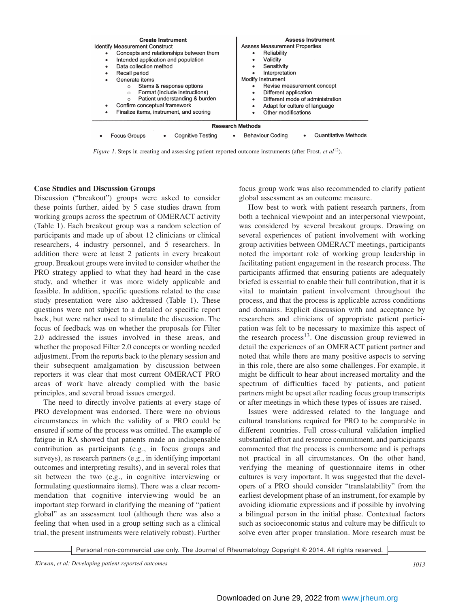

*Figure 1*. Steps in creating and assessing patient-reported outcome instruments (after Frost, *et al*<sup>12</sup>).

## **Case Studies and Discussion Groups**

Discussion ("breakout") groups were asked to consider these points further, aided by 5 case studies drawn from working groups across the spectrum of OMERACT activity (Table 1). Each breakout group was a random selection of participants and made up of about 12 clinicians or clinical researchers, 4 industry personnel, and 5 researchers. In addition there were at least 2 patients in every breakout group. Breakout groups were invited to consider whether the PRO strategy applied to what they had heard in the case study, and whether it was more widely applicable and feasible. In addition, specific questions related to the case study presentation were also addressed (Table 1). These questions were not subject to a detailed or specific report back, but were rather used to stimulate the discussion. The focus of feedback was on whether the proposals for Filter 2.0 addressed the issues involved in these areas, and whether the proposed Filter 2.0 concepts or wording needed adjustment. From the reports back to the plenary session and their subsequent amalgamation by discussion between reporters it was clear that most current OMERACT PRO areas of work have already complied with the basic principles, and several broad issues emerged.

The need to directly involve patients at every stage of PRO development was endorsed. There were no obvious circumstances in which the validity of a PRO could be ensured if some of the process was omitted. The example of fatigue in RA showed that patients made an indispensable contribution as participants (e.g., in focus groups and surveys), as research partners (e.g., in identifying important outcomes and interpreting results), and in several roles that sit between the two (e.g., in cognitive interviewing or formulating questionnaire items). There was a clear recommendation that cognitive interviewing would be an important step forward in clarifying the meaning of "patient global" as an assessment tool (although there was also a feeling that when used in a group setting such as a clinical trial, the present instruments were relatively robust). Further focus group work was also recommended to clarify patient global assessment as an outcome measure.

How best to work with patient research partners, from both a technical viewpoint and an interpersonal viewpoint, was considered by several breakout groups. Drawing on several experiences of patient involvement with working group activities between OMERACT meetings, participants noted the important role of working group leadership in facilitating patient engagement in the research process. The participants affirmed that ensuring patients are adequately briefed is essential to enable their full contribution, that it is vital to maintain patient involvement throughout the process, and that the process is applicable across conditions and domains. Explicit discussion with and acceptance by researchers and clinicians of appropriate patient participation was felt to be necessary to maximize this aspect of the research process<sup>13</sup>. One discussion group reviewed in detail the experiences of an OMERACT patient partner and noted that while there are many positive aspects to serving in this role, there are also some challenges. For example, it might be difficult to hear about increased mortality and the spectrum of difficulties faced by patients, and patient partners might be upset after reading focus group transcripts or after meetings in which these types of issues are raised.

Issues were addressed related to the language and cultural translations required for PRO to be comparable in different countries. Full cross-cultural validation implied substantial effort and resource commitment, and participants commented that the process is cumbersome and is perhaps not practical in all circumstances. On the other hand, verifying the meaning of questionnaire items in other cultures is very important. It was suggested that the developers of a PRO should consider "translatability" from the earliest development phase of an instrument, for example by avoiding idiomatic expressions and if possible by involving a bilingual person in the initial phase. Contextual factors such as socioeconomic status and culture may be difficult to solve even after proper translation. More research must be

Personal non-commercial use only. The Journal of Rheumatology Copyright © 2014. All rights reserved.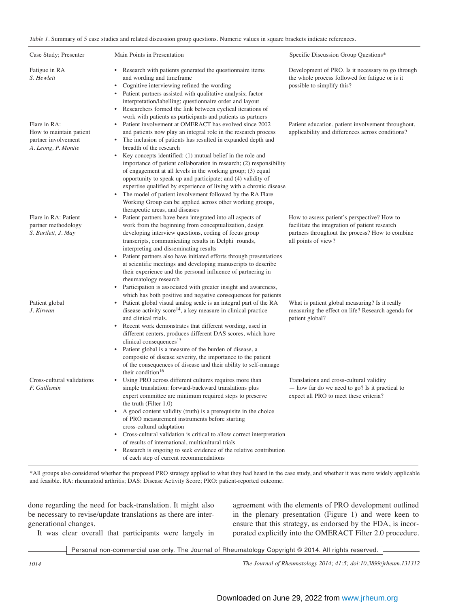|  |  |  |  |  | Table 1. Summary of 5 case studies and related discussion group questions. Numeric values in square brackets indicate references. |
|--|--|--|--|--|-----------------------------------------------------------------------------------------------------------------------------------|
|  |  |  |  |  |                                                                                                                                   |

| Case Study; Presenter                                                                 | Main Points in Presentation                                                                                                                                                                                                                                                                                                                                                                                                                                                                                                                                                                                                    | Specific Discussion Group Questions*                                                                                                                                    |
|---------------------------------------------------------------------------------------|--------------------------------------------------------------------------------------------------------------------------------------------------------------------------------------------------------------------------------------------------------------------------------------------------------------------------------------------------------------------------------------------------------------------------------------------------------------------------------------------------------------------------------------------------------------------------------------------------------------------------------|-------------------------------------------------------------------------------------------------------------------------------------------------------------------------|
| Fatigue in RA<br>S. Hewlett                                                           | • Research with patients generated the questionnaire items<br>and wording and timeframe<br>Cognitive interviewing refined the wording<br>$\bullet$<br>Patient partners assisted with qualitative analysis; factor<br>٠<br>interpretation/labelling; questionnaire order and layout<br>Researchers formed the link between cyclical iterations of<br>$\bullet$                                                                                                                                                                                                                                                                  | Development of PRO. Is it necessary to go through<br>the whole process followed for fatigue or is it<br>possible to simplify this?                                      |
| Flare in RA:<br>How to maintain patient<br>partner involvement<br>A. Leong, P. Montie | work with patients as participants and patients as partners<br>Patient involvement at OMERACT has evolved since 2002<br>$\bullet$<br>and patients now play an integral role in the research process<br>The inclusion of patients has resulted in expanded depth and<br>٠<br>breadth of the research<br>• Key concepts identified: (1) mutual belief in the role and<br>importance of patient collaboration in research; (2) responsibility<br>of engagement at all levels in the working group; (3) equal                                                                                                                      | Patient education, patient involvement throughout,<br>applicability and differences across conditions?                                                                  |
|                                                                                       | opportunity to speak up and participate; and (4) validity of<br>expertise qualified by experience of living with a chronic disease<br>The model of patient involvement followed by the RA Flare<br>$\bullet$<br>Working Group can be applied across other working groups,<br>therapeutic areas, and diseases                                                                                                                                                                                                                                                                                                                   |                                                                                                                                                                         |
| Flare in RA: Patient<br>partner methodology<br>S. Bartlett, J. May                    | Patient partners have been integrated into all aspects of<br>٠<br>work from the beginning from conceptualization, design<br>developing interview questions, coding of focus group<br>transcripts, communicating results in Delphi rounds,<br>interpreting and disseminating results<br>Patient partners also have initiated efforts through presentations<br>$\bullet$<br>at scientific meetings and developing manuscripts to describe<br>their experience and the personal influence of partnering in                                                                                                                        | How to assess patient's perspective? How to<br>facilitate the integration of patient research<br>partners throughout the process? How to combine<br>all points of view? |
| Patient global<br>J. Kirwan                                                           | rheumatology research<br>Participation is associated with greater insight and awareness,<br>$\bullet$<br>which has both positive and negative consequences for patients<br>• Patient global visual analog scale is an integral part of the RA<br>disease activity $score^{14}$ , a key measure in clinical practice                                                                                                                                                                                                                                                                                                            | What is patient global measuring? Is it really<br>measuring the effect on life? Research agenda for                                                                     |
|                                                                                       | and clinical trials.<br>Recent work demonstrates that different wording, used in<br>different centers, produces different DAS scores, which have<br>clinical consequences <sup>15</sup><br>Patient global is a measure of the burden of disease, a<br>$\bullet$<br>composite of disease severity, the importance to the patient<br>of the consequences of disease and their ability to self-manage<br>their condition <sup>16</sup>                                                                                                                                                                                            | patient global?                                                                                                                                                         |
| Cross-cultural validations<br>F. Guillemin                                            | Using PRO across different cultures requires more than<br>٠<br>simple translation: forward-backward translations plus<br>expert committee are minimum required steps to preserve<br>the truth (Filter $1.0$ )<br>• A good content validity (truth) is a prerequisite in the choice<br>of PRO measurement instruments before starting<br>cross-cultural adaptation<br>• Cross-cultural validation is critical to allow correct interpretation<br>of results of international, multicultural trials<br>Research is ongoing to seek evidence of the relative contribution<br>$\bullet$<br>of each step of current recommendations | Translations and cross-cultural validity<br>$-$ how far do we need to go? Is it practical to<br>expect all PRO to meet these criteria?                                  |

\*All groups also considered whether the proposed PRO strategy applied to what they had heard in the case study, and whether it was more widely applicable and feasible. RA: rheumatoid arthritis; DAS: Disease Activity Score; PRO: patient-reported outcome.

done regarding the need for back-translation. It might also be necessary to revise/update translations as there are intergenerational changes.

agreement with the elements of PRO development outlined in the plenary presentation (Figure 1) and were keen to ensure that this strategy, as endorsed by the FDA, is incorporated explicitly into the OMERACT Filter 2.0 procedure.

It was clear overall that participants were largely in

Personal non-commercial use only. The Journal of Rheumatology Copyright © 2014. All rights reserved.

*1014 The Journal of Rheumatology 2014; 41:5; doi:10.3899/jrheum.131312*